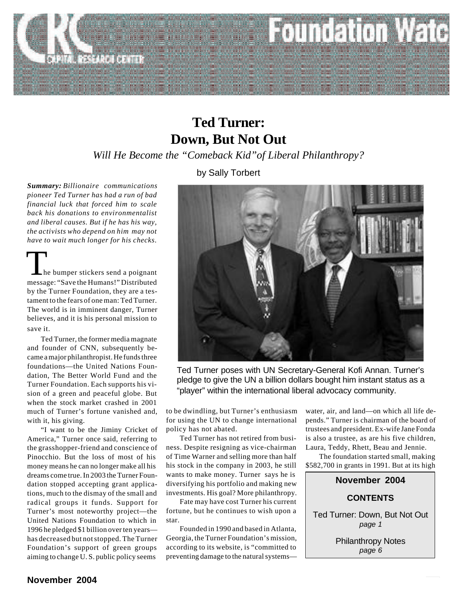

# **Ted Turner: Down, But Not Out**

*Will He Become the "Comeback Kid"of Liberal Philanthropy?*

by Sally Torbert

*Summary: Billionaire communications pioneer Ted Turner has had a run of bad financial luck that forced him to scale back his donations to environmentalist and liberal causes. But if he has his way, the activists who depend on him may not have to wait much longer for his checks.*

**L** he bumper stickers send a poignant **THE SET SAME SET ASSESS**<br>
The bumper stickers send a poignant<br>
message: "Save the Humans!" Distributed by the Turner Foundation, they are a testament to the fears of one man: Ted Turner. The world is in imminent danger, Turner believes, and it is his personal mission to save it.

Ted Turner, the former media magnate and founder of CNN, subsequently became a major philanthropist. He funds three foundations—the United Nations Foundation, The Better World Fund and the Turner Foundation. Each supports his vision of a green and peaceful globe. But when the stock market crashed in 2001 much of Turner's fortune vanished and, with it, his giving.

"I want to be the Jiminy Cricket of America," Turner once said, referring to the grasshopper-friend and conscience of Pinocchio. But the loss of most of his money means he can no longer make all his dreams come true. In 2003 the Turner Foundation stopped accepting grant applications, much to the dismay of the small and radical groups it funds. Support for Turner's most noteworthy project—the United Nations Foundation to which in 1996 he pledged \$1 billion over ten years has decreased but not stopped. The Turner Foundation's support of green groups aiming to change U. S. public policy seems



Ted Turner poses with UN Secretary-General Kofi Annan. Turner's pledge to give the UN a billion dollars bought him instant status as a "player" within the international liberal advocacy community.

to be dwindling, but Turner's enthusiasm for using the UN to change international policy has not abated.

Ted Turner has not retired from business. Despite resigning as vice-chairman of Time Warner and selling more than half his stock in the company in 2003, he still wants to make money. Turner says he is diversifying his portfolio and making new investments. His goal? More philanthropy.

Fate may have cost Turner his current fortune, but he continues to wish upon a star.

Founded in 1990 and based in Atlanta, Georgia, the Turner Foundation's mission, according to its website, is "committed to preventing damage to the natural systemswater, air, and land—on which all life depends." Turner is chairman of the board of trustees and president. Ex-wife Jane Fonda is also a trustee, as are his five children, Laura, Teddy, Rhett, Beau and Jennie.

The foundation started small, making \$582,700 in grants in 1991. But at its high

**November 2004**

**CONTENTS**

Ted Turner: Down, But Not Out *page 1*

> Philanthropy Notes *page 6*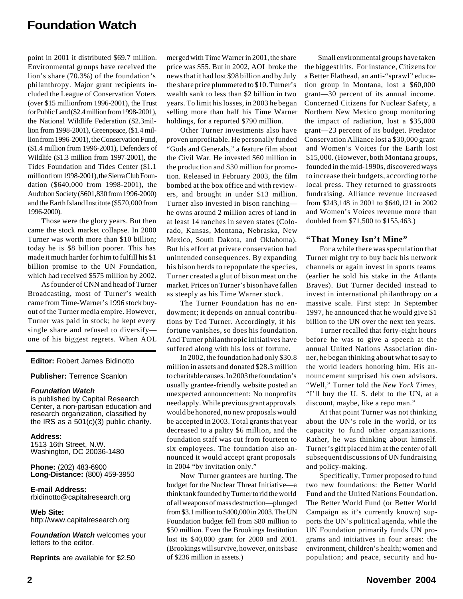point in 2001 it distributed \$69.7 million. Environmental groups have received the lion's share (70.3%) of the foundation's philanthropy. Major grant recipients included the League of Conservation Voters (over \$15 millionfrom 1996-2001), the Trust for Public Land (\$2.4 million from 1998-2001), the National Wildlife Federation (\$2.3million from 1998-2001), Greenpeace, (\$1.4 million from 1996-2001), the Conservation Fund, (\$1.4 million from 1996-2001), Defenders of Wildlife (\$1.3 million from 1997-2001), the Tides Foundation and Tides Center (\$1.1 million from 1998-2001), the Sierra Club Foundation (\$640,000 from 1998-2001), the Audubon Society (\$601,830 from 1996-2000) and the Earth Island Institute (\$570,000 from 1996-2000).

Those were the glory years. But then came the stock market collapse. In 2000 Turner was worth more than \$10 billion; today he is \$8 billion poorer. This has made it much harder for him to fulfill his \$1 billion promise to the UN Foundation, which had received \$575 million by 2002.

As founder of CNN and head of Turner Broadcasting, most of Turner's wealth came from Time-Warner's 1996 stock buyout of the Turner media empire. However, Turner was paid in stock; he kept every single share and refused to diversify one of his biggest regrets. When AOL

### **Editor:** Robert James Bidinotto

### **Publisher:** Terrence Scanlon

### *Foundation Watch*

is published by Capital Research Center, a non-partisan education and research organization, classified by the IRS as a 501(c)(3) public charity.

**Address:** 1513 16th Street, N.W. Washington, DC 20036-1480

**Phone:** (202) 483-6900 **Long-Distance:** (800) 459-3950

**E-mail Address:** rbidinotto@capitalresearch.org

**Web Site:** http://www.capitalresearch.org

*Foundation Watch* welcomes your letters to the editor.

**Reprints** are available for \$2.50

merged with Time Warner in 2001, the share price was \$55. But in 2002, AOL broke the news that it had lost \$98 billion and by July the share price plummeted to \$10. Turner's wealth sank to less than \$2 billion in two years. To limit his losses, in 2003 he began selling more than half his Time Warner holdings, for a reported \$790 million.

Other Turner investments also have proven unprofitable. He personally funded "Gods and Generals," a feature film about the Civil War. He invested \$60 million in the production and \$30 million for promotion. Released in February 2003, the film bombed at the box office and with reviewers, and brought in under \$13 million. Turner also invested in bison ranching he owns around 2 million acres of land in at least 14 ranches in seven states (Colorado, Kansas, Montana, Nebraska, New Mexico, South Dakota, and Oklahoma). But his effort at private conservation had unintended consequences. By expanding his bison herds to repopulate the species, Turner created a glut of bison meat on the market. Prices on Turner's bison have fallen as steeply as his Time Warner stock.

The Turner Foundation has no endowment; it depends on annual contributions by Ted Turner. Accordingly, if his fortune vanishes, so does his foundation. And Turner philanthropic initiatives have suffered along with his loss of fortune.

In 2002, the foundation had only \$30.8 million in assets and donated \$28.3 million to charitable causes. In 2003 the foundation's usually grantee-friendly website posted an unexpected announcement: No nonprofits need apply. While previous grant approvals would be honored, no new proposals would be accepted in 2003. Total grants that year decreased to a paltry \$6 million, and the foundation staff was cut from fourteen to six employees. The foundation also announced it would accept grant proposals in 2004 "by invitation only."

Now Turner grantees are hurting. The budget for the Nuclear Threat Initiative—a think tank founded by Turner to rid the world of all weapons of mass destruction—plunged from \$3.1 million to \$400,000 in 2003. The UN Foundation budget fell from \$80 million to \$50 million. Even the Brookings Institution lost its \$40,000 grant for 2000 and 2001. (Brookings will survive, however, on its base of \$236 million in assets.)

Small environmental groups have taken the biggest hits. For instance, Citizens for a Better Flathead, an anti-"sprawl" education group in Montana, lost a \$60,000 grant—30 percent of its annual income. Concerned Citizens for Nuclear Safety, a Northern New Mexico group monitoring the impact of radiation, lost a \$35,000 grant—23 percent of its budget. Predator Conservation Alliance lost a \$30,000 grant and Women's Voices for the Earth lost \$15,000. (However, both Montana groups, founded in the mid-1990s, discovered ways to increase their budgets, according to the local press. They returned to grassroots fundraising. Alliance revenue increased from \$243,148 in 2001 to \$640,121 in 2002 and Women's Voices revenue more than doubled from \$71,500 to \$155,463.)

# **"That Money Isn't Mine"**

For a while there was speculation that Turner might try to buy back his network channels or again invest in sports teams (earlier he sold his stake in the Atlanta Braves). But Turner decided instead to invest in international philanthropy on a massive scale. First step: In September 1997, he announced that he would give \$1 billion to the UN over the next ten years.

Turner recalled that forty-eight hours before he was to give a speech at the annual United Nations Association dinner, he began thinking about what to say to the world leaders honoring him. His announcement surprised his own advisors. "Well," Turner told the *New York Times,* "I'll buy the U. S. debt to the UN, at a discount, maybe, like a repo man."

At that point Turner was not thinking about the UN's role in the world, or its capacity to fund other organizations. Rather, he was thinking about himself. Turner's gift placed him at the center of all subsequent discussions of UN fundraising and policy-making.

Specifically, Turner proposed to fund two new foundations: the Better World Fund and the United Nations Foundation. The Better World Fund (or Better World Campaign as it's currently known) supports the UN's political agenda, while the UN Foundation primarily funds UN programs and initiatives in four areas: the environment, children's health; women and population; and peace, security and hu-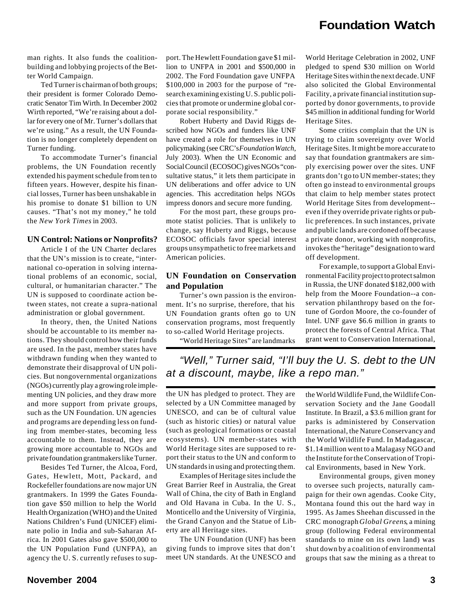man rights. It also funds the coalitionbuilding and lobbying projects of the Better World Campaign.

Ted Turner is chairman of both groups; their president is former Colorado Democratic Senator Tim Wirth. In December 2002 Wirth reported, "We're raising about a dollar for every one of Mr. Turner's dollars that we're using." As a result, the UN Foundation is no longer completely dependent on Turner funding.

To accommodate Turner's financial problems, the UN Foundation recently extended his payment schedule from ten to fifteen years. However, despite his financial losses, Turner has been unshakable in his promise to donate \$1 billion to UN causes. "That's not my money," he told the *New York Times* in 2003.

### **UN Control: Nations or Nonprofits?**

Article I of the UN Charter declares that the UN's mission is to create, "international co-operation in solving international problems of an economic, social, cultural, or humanitarian character." The UN is supposed to coordinate action between states, not create a supra-national administration or global government.

In theory, then, the United Nations should be accountable to its member nations. They should control how their funds are used. In the past, member states have withdrawn funding when they wanted to demonstrate their disapproval of UN policies. But nongovernmental organizations (NGOs) currently play a growing role implementing UN policies, and they draw more and more support from private groups, such as the UN Foundation. UN agencies and programs are depending less on funding from member-states, becoming less accountable to them. Instead, they are growing more accountable to NGOs and private foundation grantmakers like Turner.

Besides Ted Turner, the Alcoa, Ford, Gates, Hewlett, Mott, Packard, and Rockefeller foundations are now major UN grantmakers. In 1999 the Gates Foundation gave \$50 million to help the World Health Organization (WHO) and the United Nations Children's Fund (UNICEF) eliminate polio in India and sub-Saharan Africa. In 2001 Gates also gave \$500,000 to the UN Population Fund (UNFPA), an agency the U. S. currently refuses to support. The Hewlett Foundation gave \$1 million to UNFPA in 2001 and \$500,000 in 2002. The Ford Foundation gave UNFPA \$100,000 in 2003 for the purpose of "research examining existing U. S. public policies that promote or undermine global corporate social responsibility."

Robert Huberty and David Riggs described how NGOs and funders like UNF have created a role for themselves in UN policymaking (see CRC's *Foundation Watch*, July 2003). When the UN Economic and Social Council (ECOSOC) gives NGOs "consultative status," it lets them participate in UN deliberations and offer advice to UN agencies. This accreditation helps NGOs impress donors and secure more funding.

For the most part, these groups promote statist policies. That is unlikely to change, say Huberty and Riggs, because ECOSOC officials favor special interest groups unsympathetic to free markets and American policies.

# **UN Foundation on Conservation and Population**

Turner's own passion is the environment. It's no surprise, therefore, that his UN Foundation grants often go to UN conservation programs, most frequently to so-called World Heritage projects.

"World Heritage Sites" are landmarks

World Heritage Celebration in 2002, UNF pledged to spend \$30 million on World Heritage Sites within the next decade. UNF also solicited the Global Environmental Facility, a private financial institution supported by donor governments, to provide \$45 million in additional funding for World Heritage Sites.

Some critics complain that the UN is trying to claim sovereignty over World Heritage Sites. It might be more accurate to say that foundation grantmakers are simply exercising power over the sites. UNF grants don't go to UN member-states; they often go instead to environmental groups that claim to help member states protect World Heritage Sites from development- even if they override private rights or public preferences. In such instances, private and public lands are cordoned off because a private donor, working with nonprofits, invokes the "heritage" designation to ward off development.

For example, to support a Global Environmental Facility project to protect salmon in Russia, the UNF donated \$182,000 with help from the Moore Foundation--a conservation philanthropy based on the fortune of Gordon Moore, the co-founder of Intel. UNF gave \$6.6 million in grants to protect the forests of Central Africa. That grant went to Conservation International,

*"Well," Turner said, "I'll buy the U. S. debt to the UN at a discount, maybe, like a repo man."*

the UN has pledged to protect. They are selected by a UN Committee managed by UNESCO, and can be of cultural value (such as historic cities) or natural value (such as geological formations or coastal ecosystems). UN member-states with World Heritage sites are supposed to report their status to the UN and conform to UN standards in using and protecting them.

Examples of Heritage sites include the Great Barrier Reef in Australia, the Great Wall of China, the city of Bath in England and Old Havana in Cuba. In the U. S., Monticello and the University of Virginia, the Grand Canyon and the Statue of Liberty are all Heritage sites.

The UN Foundation (UNF) has been giving funds to improve sites that don't meet UN standards. At the UNESCO and the World Wildlife Fund, the Wildlife Conservation Society and the Jane Goodall Institute. In Brazil, a \$3.6 million grant for parks is administered by Conservation International, the Nature Conservancy and the World Wildlife Fund. In Madagascar, \$1.14 million went to a Malagasy NGO and the Institute for the Conservation of Tropical Environments, based in New York.

Environmental groups, given money to oversee such projects, naturally campaign for their own agendas. Cooke City, Montana found this out the hard way in 1995. As James Sheehan discussed in the CRC monograph *Global Greens*, a mining group (following Federal environmental standards to mine on its own land) was shut down by a coalition of environmental groups that saw the mining as a threat to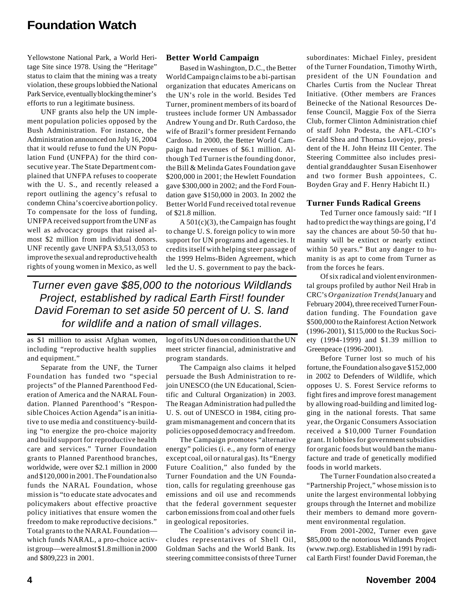Yellowstone National Park, a World Heritage Site since 1978. Using the "Heritage" status to claim that the mining was a treaty violation, these groups lobbied the National Park Service, eventually blocking the miner's efforts to run a legitimate business.

UNF grants also help the UN implement population policies opposed by the Bush Administration. For instance, the Administration announced on July 16, 2004 that it would refuse to fund the UN Population Fund (UNFPA) for the third consecutive year. The State Department complained that UNFPA refuses to cooperate with the U. S., and recently released a report outlining the agency's refusal to condemn China's coercive abortion policy. To compensate for the loss of funding, UNFPA received support from the UNF as well as advocacy groups that raised almost \$2 million from individual donors. UNF recently gave UNFPA \$3,513,053 to improve the sexual and reproductive health rights of young women in Mexico, as well

# **Better World Campaign**

Based in Washington, D.C., the Better World Campaign claims to be a bi-partisan organization that educates Americans on the UN's role in the world. Besides Ted Turner, prominent members of its board of trustees include former UN Ambassador Andrew Young and Dr. Ruth Cardoso, the wife of Brazil's former president Fernando Cardoso. In 2000, the Better World Campaign had revenues of \$6.1 million. Although Ted Turner is the founding donor, the Bill & Melinda Gates Foundation gave \$200,000 in 2001; the Hewlett Foundation gave \$300,000 in 2002; and the Ford Foundation gave \$150,000 in 2003. In 2002 the Better World Fund received total revenue of \$21.8 million.

A 501(c)(3), the Campaign has fought to change U. S. foreign policy to win more support for UN programs and agencies. It credits itself with helping steer passage of the 1999 Helms-Biden Agreement, which led the U. S. government to pay the back-

*Turner even gave \$85,000 to the notorious Wildlands Project, established by radical Earth First! founder David Foreman to set aside 50 percent of U. S. land for wildlife and a nation of small villages.*

as \$1 million to assist Afghan women, including "reproductive health supplies and equipment."

Separate from the UNF, the Turner Foundation has funded two "special projects" of the Planned Parenthood Federation of America and the NARAL Foundation. Planned Parenthood's "Responsible Choices Action Agenda" is an initiative to use media and constituency-building "to energize the pro-choice majority and build support for reproductive health care and services." Turner Foundation grants to Planned Parenthood branches, worldwide, were over \$2.1 million in 2000 and \$120,000 in 2001. The Foundation also funds the NARAL Foundation, whose mission is "to educate state advocates and policymakers about effective proactive policy initiatives that ensure women the freedom to make reproductive decisions." Total grants to the NARAL Foundation which funds NARAL, a pro-choice activist group—were almost \$1.8 million in 2000 and \$809,223 in 2001.

log of its UN dues on condition that the UN meet stricter financial, administrative and program standards.

The Campaign also claims it helped persuade the Bush Administration to rejoin UNESCO (the UN Educational, Scientific and Cultural Organization) in 2003. The Reagan Administration had pulled the U. S. out of UNESCO in 1984, citing program mismanagement and concern that its policies opposed democracy and freedom.

The Campaign promotes "alternative energy" policies (i. e., any form of energy except coal, oil or natural gas). Its "Energy Future Coalition," also funded by the Turner Foundation and the UN Foundation, calls for regulating greenhouse gas emissions and oil use and recommends that the federal government sequester carbon emissions from coal and other fuels in geological repositories.

The Coalition's advisory council includes representatives of Shell Oil, Goldman Sachs and the World Bank. Its steering committee consists of three Turner subordinates: Michael Finley, president of the Turner Foundation, Timothy Wirth, president of the UN Foundation and Charles Curtis from the Nuclear Threat Initiative. (Other members are Frances Beinecke of the National Resources Defense Council, Maggie Fox of the Sierra Club, former Clinton Administration chief of staff John Podesta, the AFL-CIO's Gerald Shea and Thomas Lovejoy, president of the H. John Heinz III Center. The Steering Committee also includes presidential granddaughter Susan Eisenhower and two former Bush appointees, C. Boyden Gray and F. Henry Habicht II.)

### **Turner Funds Radical Greens**

Ted Turner once famously said: "If I had to predict the way things are going, I'd say the chances are about 50-50 that humanity will be extinct or nearly extinct within 50 years." But any danger to humanity is as apt to come from Turner as from the forces he fears.

Of six radical and violent environmental groups profiled by author Neil Hrab in CRC's *Organization Trends* (January and February 2004), three received Turner Foundation funding. The Foundation gave \$500,000 to the Rainforest Action Network (1996-2001), \$115,000 to the Ruckus Society (1994-1999) and \$1.39 million to Greenpeace (1996-2001).

Before Turner lost so much of his fortune, the Foundation also gave \$152,000 in 2002 to Defenders of Wildlife, which opposes U. S. Forest Service reforms to fight fires and improve forest management by allowing road-building and limited logging in the national forests. That same year, the Organic Consumers Association received a \$10,000 Turner Foundation grant. It lobbies for government subsidies for organic foods but would ban the manufacture and trade of genetically modified foods in world markets.

The Turner Foundation also created a "Partnership Project," whose mission is to unite the largest environmental lobbying groups through the Internet and mobilize their members to demand more government environmental regulation.

From 2001-2002, Turner even gave \$85,000 to the notorious Wildlands Project (www.twp.org). Established in 1991 by radical Earth First! founder David Foreman, the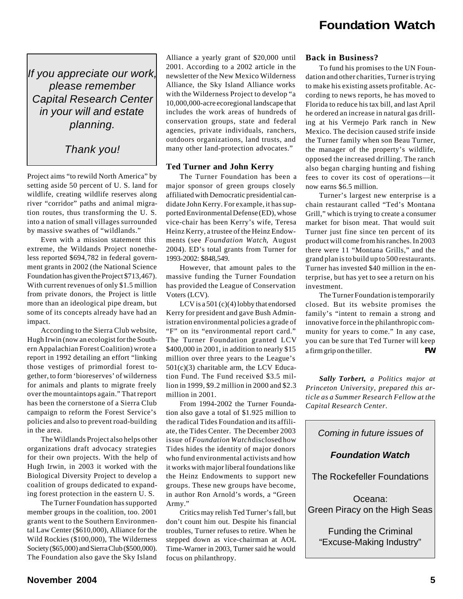*If you appreciate our work, please remember Capital Research Center in your will and estate planning.*

# *Thank you!*

Project aims "to rewild North America" by setting aside 50 percent of U. S. land for wildlife, creating wildlife reserves along river "corridor" paths and animal migration routes, thus transforming the U. S. into a nation of small villages surrounded by massive swathes of "wildlands."

Even with a mission statement this extreme, the Wildands Project nonetheless reported \$694,782 in federal government grants in 2002 (the National Science Foundation has given the Project \$713,467). With current revenues of only \$1.5 million from private donors, the Project is little more than an ideological pipe dream, but some of its concepts already have had an impact.

According to the Sierra Club website, Hugh Irwin (now an ecologist for the Southern Appalachian Forest Coalition) wrote a report in 1992 detailing an effort "linking those vestiges of primordial forest together, to form 'bioreserves' of wilderness for animals and plants to migrate freely over the mountaintops again." That report has been the cornerstone of a Sierra Club campaign to reform the Forest Service's policies and also to prevent road-building in the area.

The Wildlands Project also helps other organizations draft advocacy strategies for their own projects. With the help of Hugh Irwin, in 2003 it worked with the Biological Diversity Project to develop a coalition of groups dedicated to expanding forest protection in the eastern U. S.

The Turner Foundation has supported member groups in the coalition, too. 2001 grants went to the Southern Environmental Law Center (\$610,000), Alliance for the Wild Rockies (\$100,000), The Wilderness Society (\$65,000) and Sierra Club (\$500,000). The Foundation also gave the Sky Island Alliance a yearly grant of \$20,000 until 2001. According to a 2002 article in the newsletter of the New Mexico Wilderness Alliance, the Sky Island Alliance works with the Wilderness Project to develop "a 10,000,000-acre ecoregional landscape that includes the work areas of hundreds of conservation groups, state and federal agencies, private individuals, ranchers, outdoors organizations, land trusts, and many other land-protection advocates."

# **Ted Turner and John Kerry**

The Turner Foundation has been a major sponsor of green groups closely affiliated with Democratic presidential candidate John Kerry. For example, it has supported Environmental Defense (ED), whose vice-chair has been Kerry's wife, Teresa Heinz Kerry, a trustee of the Heinz Endowments (see *Foundation Watch*, August 2004). ED's total grants from Turner for 1993-2002: \$848,549.

However, that amount pales to the massive funding the Turner Foundation has provided the League of Conservation Voters (LCV).

LCV is a 501 (c)(4) lobby that endorsed Kerry for president and gave Bush Administration environmental policies a grade of "F" on its "environmental report card." The Turner Foundation granted LCV \$400,000 in 2001, in addition to nearly \$15 million over three years to the League's 501(c)(3) charitable arm, the LCV Education Fund. The Fund received \$3.5 million in 1999, \$9.2 million in 2000 and \$2.3 million in 2001.

From 1994-2002 the Turner Foundation also gave a total of \$1.925 million to the radical Tides Foundation and its affiliate, the Tides Center. The December 2003 issue of *Foundation Watch* disclosed how Tides hides the identity of major donors who fund environmental activists and how it works with major liberal foundations like the Heinz Endowments to support new groups. These new groups have become, in author Ron Arnold's words, a "Green Army."

Critics may relish Ted Turner's fall, but don't count him out. Despite his financial troubles, Turner refuses to retire. When he stepped down as vice-chairman at AOL Time-Warner in 2003, Turner said he would focus on philanthropy.

# **Back in Business?**

opposed the increased drilling. The ranch also began charging hunting and fishing fees to cover its cost of operations—it now earns \$6.5 million. To fund his promises to the UN Foundation and other charities, Turner is trying to make his existing assets profitable. According to news reports, he has moved to Florida to reduce his tax bill, and last April he ordered an increase in natural gas drilling at his Vermejo Park ranch in New Mexico. The decision caused strife inside the Turner family when son Beau Turner, the manager of the property's wildlife,

Turner's largest new enterprise is a chain restaurant called "Ted's Montana Grill," which is trying to create a consumer market for bison meat. That would suit Turner just fine since ten percent of its product will come from his ranches. In 2003 there were 11 "Montana Grills," and the grand plan is to build up to 500 restaurants. Turner has invested \$40 million in the enterprise, but has yet to see a return on his investment.

The Turner Foundation is temporarily closed. But its website promises the family's "intent to remain a strong and innovative force in the philanthropic community for years to come." In any case, you can be sure that Ted Turner will keep a firm grip on the tiller. *FW*

*Sally Torbert, a Politics major at Princeton University, prepared this article as a Summer Research Fellow at the Capital Research Center.*